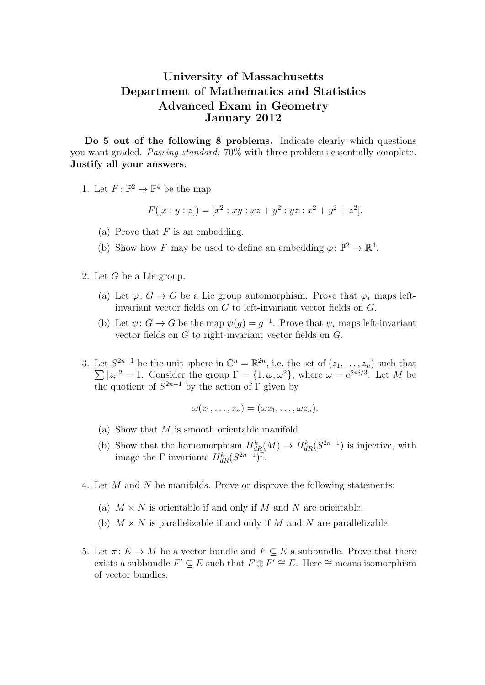## University of Massachusetts Department of Mathematics and Statistics Advanced Exam in Geometry January 2012

Do 5 out of the following 8 problems. Indicate clearly which questions you want graded. Passing standard: 70% with three problems essentially complete. Justify all your answers.

1. Let  $F: \mathbb{P}^2 \to \mathbb{P}^4$  be the map

$$
F([x:y:z]) = [x2 : xy : xz + y2 : yz : x2 + y2 + z2].
$$

- (a) Prove that  $F$  is an embedding.
- (b) Show how F may be used to define an embedding  $\varphi \colon \mathbb{P}^2 \to \mathbb{R}^4$ .
- 2. Let G be a Lie group.
	- (a) Let  $\varphi: G \to G$  be a Lie group automorphism. Prove that  $\varphi_*$  maps leftinvariant vector fields on  $G$  to left-invariant vector fields on  $G$ .
	- (b) Let  $\psi: G \to G$  be the map  $\psi(g) = g^{-1}$ . Prove that  $\psi_*$  maps left-invariant vector fields on G to right-invariant vector fields on G.
- 3. Let  $S^{2n-1}$  be the unit sphere in  $\mathbb{C}^n = \mathbb{R}^{2n}$  $\sum$ , i.e. the set of  $(z_1, \ldots, z_n)$  such that  $|z_i|^2 = 1$ . Consider the group  $\Gamma = \{1, \omega, \omega^2\}$ , where  $\omega = e^{2\pi i/3}$ . Let M be the quotient of  $S^{2n-1}$  by the action of  $\Gamma$  given by

$$
\omega(z_1,\ldots,z_n)=(\omega z_1,\ldots,\omega z_n).
$$

- (a) Show that M is smooth orientable manifold.
- (b) Show that the homomorphism  $H_{dR}^k(M) \to H_{dR}^k(S^{2n-1})$  is injective, with image the Γ-invariants  $H_{dR}^k(S^{2n-1})^{\Gamma}$ .
- 4. Let M and N be manifolds. Prove or disprove the following statements:
	- (a)  $M \times N$  is orientable if and only if M and N are orientable.
	- (b)  $M \times N$  is parallelizable if and only if M and N are parallelizable.
- 5. Let  $\pi: E \to M$  be a vector bundle and  $F \subseteq E$  a subbundle. Prove that there exists a subbundle  $F' \subseteq E$  such that  $F \oplus F' \cong E$ . Here  $\cong$  means isomorphism of vector bundles.